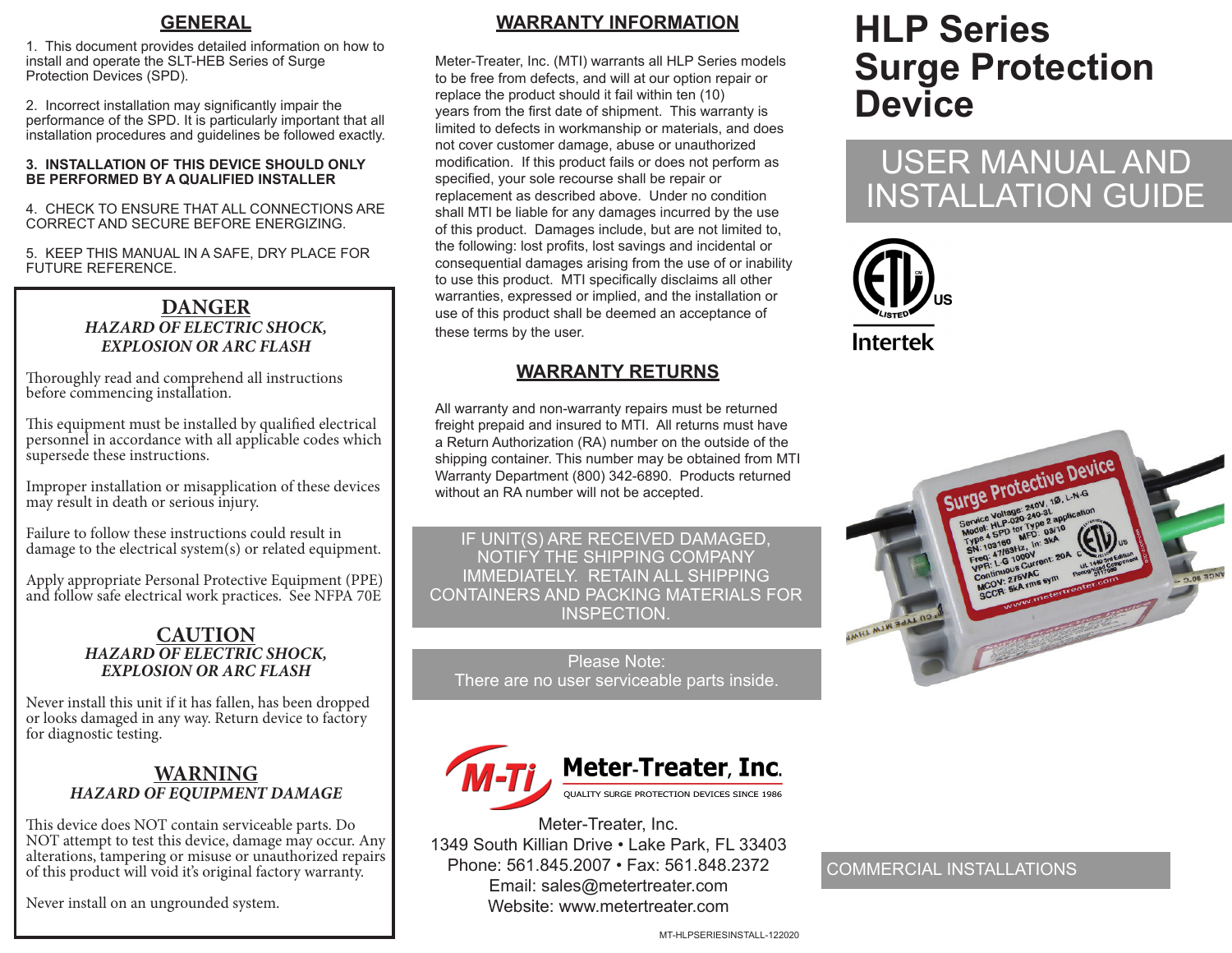### **GENERAL**

1. This document provides detailed information on how to install and operate the SLT-HEB Series of Surge Protection Devices (SPD).

2. Incorrect installation may significantly impair the performance of the SPD. It is particularly important that all installation procedures and guidelines be followed exactly.

#### **3. INSTALLATION OF THIS DEVICE SHOULD ONLY BE PERFORMED BY A QUALIFIED INSTALLER**

4. CHECK TO ENSURE THAT ALL CONNECTIONS ARE CORRECT AND SECURE BEFORE ENERGIZING.

5. KEEP THIS MANUAL IN A SAFE, DRY PLACE FOR FUTURE REFERENCE.

### **DANGER** *HAZARD OF ELECTRIC SHOCK, EXPLOSION OR ARC FLASH*

Thoroughly read and comprehend all instructions before commencing installation.

This equipment must be installed by qualified electrical personnel in accordance with all applicable codes which supersede these instructions.

Improper installation or misapplication of these devices may result in death or serious injury.

Failure to follow these instructions could result in damage to the electrical system(s) or related equipment.

Apply appropriate Personal Protective Equipment (PPE) and follow safe electrical work practices. See NFPA 70E

#### **CAUTION** *HAZARD OF ELECTRIC SHOCK, EXPLOSION OR ARC FLASH*

Never install this unit if it has fallen, has been dropped or looks damaged in any way. Return device to factory for diagnostic testing.

### **WARNING** *HAZARD OF EQUIPMENT DAMAGE*

This device does NOT contain serviceable parts. Do NOT attempt to test this device, damage may occur. Any alterations, tampering or misuse or unauthorized repairs of this product will void it's original factory warranty.

Never install on an ungrounded system.

## **WARRANTY INFORMATION**

Meter-Treater, Inc. (MTI) warrants all HLP Series models to be free from defects, and will at our option repair or replace the product should it fail within ten (10) years from the first date of shipment. This warranty is limited to defects in workmanship or materials, and does not cover customer damage, abuse or unauthorized modification. If this product fails or does not perform as specified, your sole recourse shall be repair or replacement as described above. Under no condition shall MTI be liable for any damages incurred by the use of this product. Damages include, but are not limited to, the following: lost profits, lost savings and incidental or consequential damages arising from the use of or inability to use this product. MTI specifically disclaims all other warranties, expressed or implied, and the installation or use of this product shall be deemed an acceptance of these terms by the user.

## **WARRANTY RETURNS**

All warranty and non-warranty repairs must be returned freight prepaid and insured to MTI. All returns must have a Return Authorization (RA) number on the outside of the shipping container. This number may be obtained from MTI Warranty Department (800) 342-6890. Products returned without an RA number will not be accepted.

IF UNIT(S) ARE RECEIVED DAMAGED, NOTIFY THE SHIPPING COMPANY IMMEDIATELY. RETAIN ALL SHIPPING CONTAINERS AND PACKING MATERIALS FOR INSPECTION.

Please Note: There are no user serviceable parts inside.



Meter-Treater, Inc. 1349 South Killian Drive • Lake Park, FL 33403 Phone: 561.845.2007 • Fax: 561.848.2372 Email: sales@metertreater.com Website: www.metertreater.com

# **HLP Series Surge Protection Device**

## USER MANUAL AND INSTALLATION GUIDE





## COMMERCIAL INSTALLATIONS